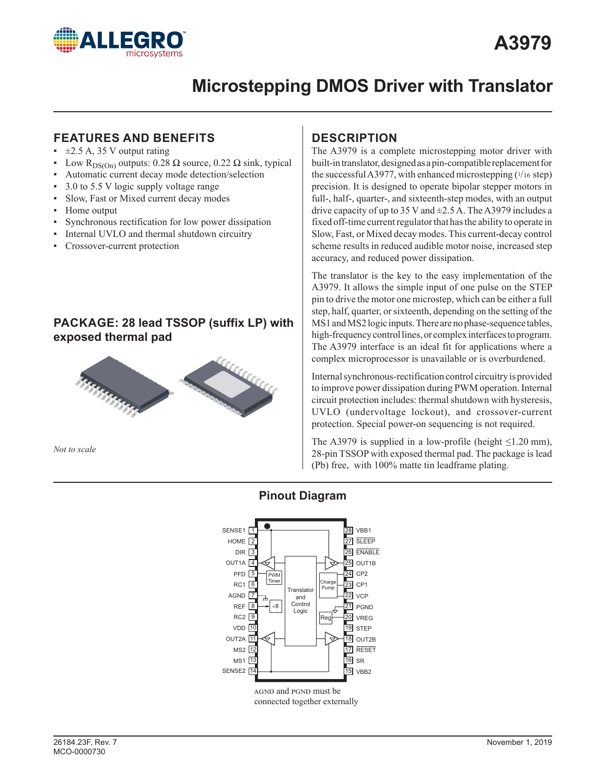

# **Microstepping DMOS Driver with Translator**

### **FEATURES AND BENEFITS**

- $\pm 2.5$  A, 35 V output rating
- Low R<sub>DS(On)</sub> outputs: 0.28 Ω source, 0.22 Ω sink, typical
- Automatic current decay mode detection/selection
- 3.0 to 5.5 V logic supply voltage range
- Slow, Fast or Mixed current decay modes
- Home output
- Synchronous rectification for low power dissipation
- Internal UVLO and thermal shutdown circuitry
- Crossover-current protection

### **PACKAGE: 28 lead TSSOP (suffix LP) with exposed thermal pad**



*Not to scale*

### **DESCRIPTION**

The A3979 is a complete microstepping motor driver with built-in translator, designed as a pin-compatible replacement for the successful A3977, with enhanced microstepping  $(1/16 \text{ step})$ precision. It is designed to operate bipolar stepper motors in full-, half-, quarter-, and sixteenth-step modes, with an output drive capacity of up to 35 V and  $\pm$ 2.5 A. The A3979 includes a fixed off-time current regulator that has the ability to operate in Slow, Fast, or Mixed decay modes. This current-decay control scheme results in reduced audible motor noise, increased step accuracy, and reduced power dissipation.

The translator is the key to the easy implementation of the A3979. It allows the simple input of one pulse on the STEP pin to drive the motor one microstep, which can be either a full step, half, quarter, or sixteenth, depending on the setting of the MS1 and MS2 logic inputs. There are no phase-sequence tables, high-frequency control lines, or complex interfaces to program. The A3979 interface is an ideal fit for applications where a complex microprocessor is unavailable or is overburdened.

Internal synchronous-rectification control circuitry is provided to improve power dissipation during PWM operation. Internal circuit protection includes: thermal shutdown with hysteresis, UVLO (undervoltage lockout), and crossover-current protection. Special power-on sequencing is not required.

The A3979 is supplied in a low-profile (height  $\leq$ 1.20 mm), 28-pin TSSOP with exposed thermal pad. The package is lead (Pb) free, with 100% matte tin leadframe plating.

### **Pinout Diagram**

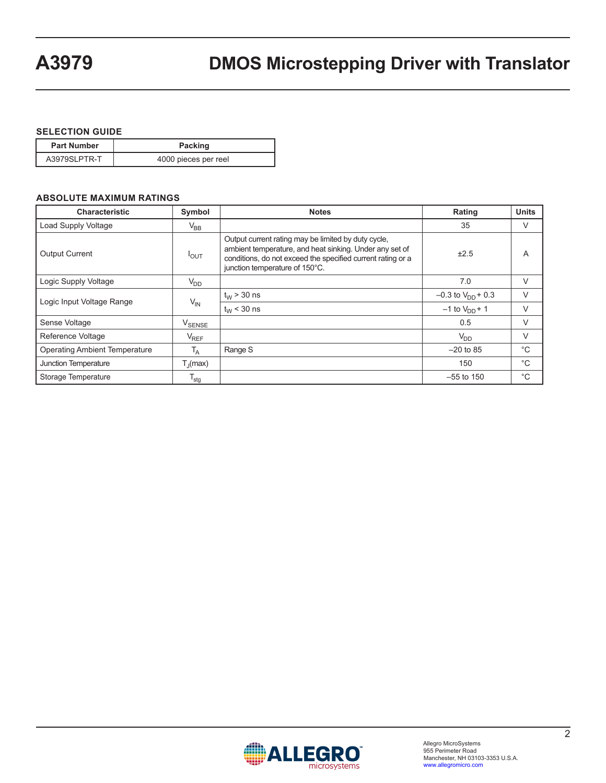#### **SELECTION GUIDE**

| <b>Part Number</b> | <b>Packing</b>       |
|--------------------|----------------------|
| A3979SLPTR-T       | 4000 pieces per reel |

#### **ABSOLUTE MAXIMUM RATINGS**

| <b>Characteristic</b>                         | Symbol                        | <b>Notes</b>                                                                                                                                                                                                    | Rating                   | <b>Units</b> |
|-----------------------------------------------|-------------------------------|-----------------------------------------------------------------------------------------------------------------------------------------------------------------------------------------------------------------|--------------------------|--------------|
| Load Supply Voltage                           | $V_{BB}$                      |                                                                                                                                                                                                                 | 35                       | V            |
| <b>Output Current</b><br>$I_{OUT}$            |                               | Output current rating may be limited by duty cycle,<br>ambient temperature, and heat sinking. Under any set of<br>conditions, do not exceed the specified current rating or a<br>junction temperature of 150°C. | ±2.5                     | A            |
| Logic Supply Voltage                          | V <sub>DD</sub>               |                                                                                                                                                                                                                 | 7.0                      | V            |
|                                               | $V_{IN}$                      | $t_{W}$ > 30 ns                                                                                                                                                                                                 | $-0.3$ to $V_{DD}$ + 0.3 | V            |
| Logic Input Voltage Range                     |                               | $t_{W}$ < 30 ns                                                                                                                                                                                                 | $-1$ to $V_{DD}$ + 1     | V            |
| Sense Voltage                                 | $\mathsf{V}_{\mathsf{SENSE}}$ |                                                                                                                                                                                                                 | 0.5                      | V            |
| Reference Voltage                             | $V_{REF}$                     |                                                                                                                                                                                                                 | $V_{DD}$                 | V            |
| <b>Operating Ambient Temperature</b><br>$T_A$ |                               | Range S                                                                                                                                                                                                         | $-20$ to 85              | $^{\circ}C$  |
| Junction Temperature<br>$T_{\parallel}$ (max) |                               |                                                                                                                                                                                                                 | 150                      | $^{\circ}C$  |
| Storage Temperature                           | $T_{\text{stg}}$              |                                                                                                                                                                                                                 | $-55$ to 150             | °C           |

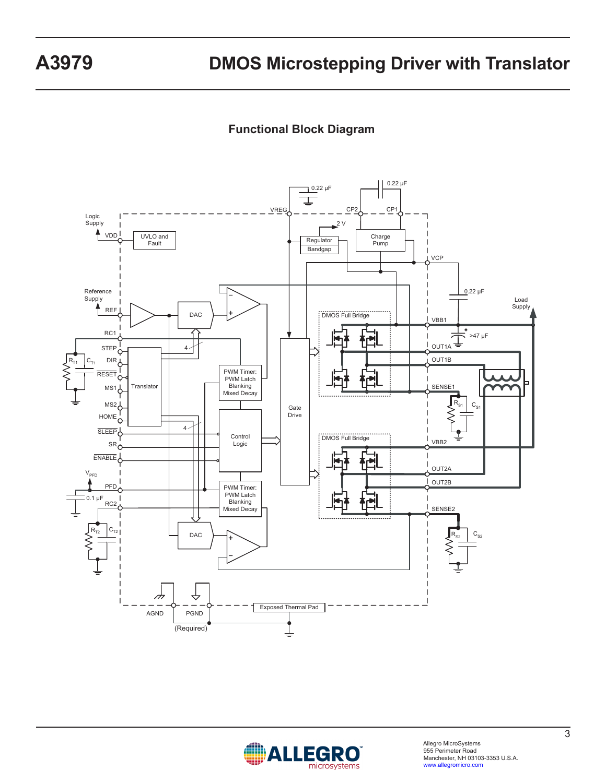### **Functional Block Diagram**



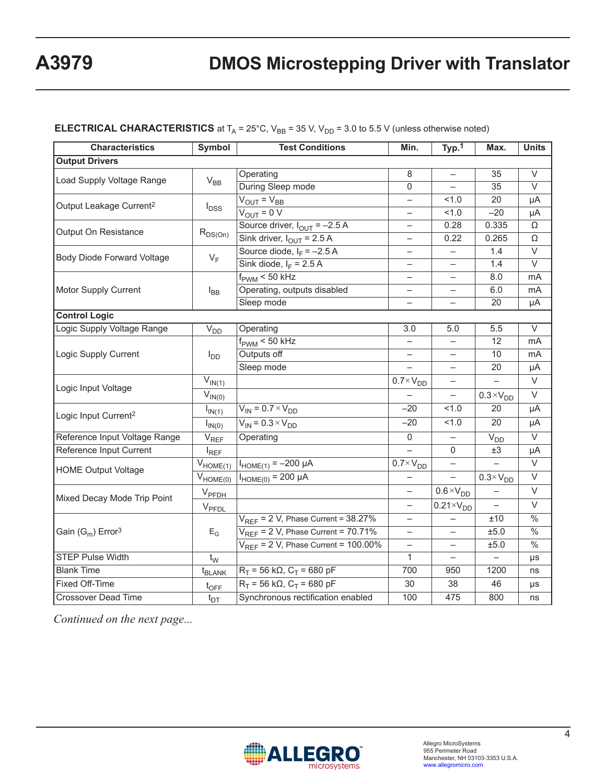| <b>Characteristics</b>                                      | Symbol                      | <b>Test Conditions</b>                              | Min.                     | Typ.1                    | Max.                     | <b>Units</b>             |  |
|-------------------------------------------------------------|-----------------------------|-----------------------------------------------------|--------------------------|--------------------------|--------------------------|--------------------------|--|
| <b>Output Drivers</b>                                       |                             |                                                     |                          |                          |                          |                          |  |
| Load Supply Voltage Range                                   |                             | Operating                                           | $\overline{8}$           |                          | 35                       | $\overline{\vee}$        |  |
|                                                             | $\rm V_{BB}$                | During Sleep mode                                   | $\Omega$                 | $\overline{\phantom{0}}$ | 35                       | $\vee$                   |  |
| Output Leakage Current <sup>2</sup>                         |                             | $V_{OUT} = V_{BB}$                                  | $\qquad \qquad -$        | 1.0                      | 20                       | μA                       |  |
|                                                             | $I_{DSS}$                   | $V_{OUT} = 0 V$                                     | $\qquad \qquad -$        | 1.0                      | $-20$                    | μA                       |  |
| Output On Resistance                                        |                             | Source driver, $I_{\text{OUT}} = -2.5 \text{ A}$    | ÷,                       | 0.28                     | 0.335                    | Ω                        |  |
|                                                             | $R_{DS(On)}$                | Sink driver, $I_{\text{OUT}}$ = 2.5 A               | $\overline{\phantom{0}}$ | 0.22                     | 0.265                    | Ω                        |  |
| <b>Body Diode Forward Voltage</b>                           | $V_F$                       | Source diode, $I_F = -2.5 A$                        | $\overline{\phantom{0}}$ |                          | 1.4                      | $\overline{\vee}$        |  |
|                                                             |                             | Sink diode, $I_F$ = 2.5 A                           | $\overline{\phantom{0}}$ | $\overline{\phantom{0}}$ | 1.4                      | V                        |  |
|                                                             |                             | $f_{\text{PWM}}$ < $\overline{50 \text{ kHz}}$      | $\overline{\phantom{0}}$ |                          | 8.0                      | mA                       |  |
| <b>Motor Supply Current</b>                                 | $I_{BB}$                    | Operating, outputs disabled                         | $\overline{\phantom{0}}$ |                          | 6.0                      | mA                       |  |
|                                                             |                             | Sleep mode                                          | $\equiv$                 |                          | 20                       | μA                       |  |
| <b>Control Logic</b>                                        |                             |                                                     |                          |                          |                          |                          |  |
| Logic Supply Voltage Range                                  | $V_{DD}$                    | Operating                                           | 3.0                      | 5.0                      | 5.5                      | $\overline{\vee}$        |  |
|                                                             | $I_{DD}$                    | $f_{\text{PWM}}$ < 50 kHz                           | $\qquad \qquad -$        | $\qquad \qquad -$        | 12                       | mA                       |  |
| Logic Supply Current                                        |                             | Outputs off                                         | $\qquad \qquad -$        |                          | 10                       | mA                       |  |
|                                                             |                             | Sleep mode                                          |                          | ÷,                       | 20                       | μA                       |  |
| Logic Input Voltage                                         | $V_{IN(1)}$                 |                                                     | $0.7 \times V_{DD}$      | $\overline{\phantom{0}}$ | $\equiv$                 | $\vee$                   |  |
|                                                             | $V_{IN(0)}$                 |                                                     |                          |                          | $0.3 \times V_{DD}$      | $\vee$                   |  |
| Logic Input Current <sup>2</sup>                            | $I_{IN(1)}$                 | $V_{IN}$ = 0.7 $\times$ $V_{DD}$                    | $-20$                    | 1.0                      | 20                       | μA                       |  |
|                                                             | $I_{IN(0)}$                 | $V_{IN} = 0.3 \times V_{DD}$                        | $-20$                    | 51.0                     | 20                       | μA                       |  |
| Reference Input Voltage Range                               | $\mathsf{V}_{\mathsf{REF}}$ | Operating                                           | $\mathsf{O}\xspace$      |                          | $V_{DD}$                 | $\overline{\vee}$        |  |
| Reference Input Current                                     | $I_{REF}$                   |                                                     |                          | $\mathbf 0$              | $\pm 3$                  | μA                       |  |
|                                                             | $V_{HOME(1)}$               | $I_{HOME(1)} = -200 \mu A$                          | $0.7 \times V_{DD}$      |                          |                          | $\overline{\vee}$        |  |
| HOME Output Voltage                                         | $V_{HOME(0)}$               | $I_{HOME(0)} = 200 \mu A$                           | $\qquad \qquad -$        | $\equiv$                 | $0.3 \times V_{DD}$      | V                        |  |
| Mixed Decay Mode Trip Point                                 | V <sub>PFDH</sub>           |                                                     | $\qquad \qquad -$        | $0.6 \times V_{DD}$      |                          | $\vee$                   |  |
|                                                             | $V_{\text{PEDL}}$           |                                                     | $\equiv$                 | $0.21 \times V_{DD}$     | $\overline{\phantom{0}}$ | $\vee$                   |  |
|                                                             |                             | $V_{REF}$ = 2 V, Phase Current = 38.27%             | $\overline{\phantom{0}}$ |                          | ±10                      | $\frac{0}{6}$            |  |
| $\mathsf{Gain}(\mathsf{G}_{\mathsf{m}})$ Error <sup>3</sup> | $E_G$                       | $V_{RFF}$ = 2 V, Phase Current = 70.71%             | $\qquad \qquad -$        |                          | ±5.0                     | $\overline{\frac{0}{6}}$ |  |
|                                                             |                             | $V_{REF}$ = 2 V, Phase Current = 100.00%            | $\overline{\phantom{0}}$ | $\overline{\phantom{0}}$ | ±5.0                     | $\overline{\frac{0}{0}}$ |  |
| <b>STEP Pulse Width</b>                                     | $t_{\rm W}$                 |                                                     | $\mathbf{1}$             |                          |                          | $\mu s$                  |  |
| <b>Blank Time</b>                                           | t <sub>BLANK</sub>          | $R_T = 56 \text{ k}\Omega$ , $C_T = 680 \text{ pF}$ | 700                      | 950                      | 1200                     | ns                       |  |
| Fixed Off-Time                                              | $t_{\text{OFF}}$            | $R_T$ = 56 kΩ, C <sub>T</sub> = 680 pF              | 30                       | 38                       | 46                       | $\mu s$                  |  |
| Crossover Dead Time                                         | $t_{DT}$                    | Synchronous rectification enabled                   | 100                      | 475                      | 800                      | ns                       |  |

#### **ELECTRICAL CHARACTERISTICS** at  $T_A = 25^{\circ}$ C,  $V_{BB} = 35$  V,  $V_{DD} = 3.0$  to 5.5 V (unless otherwise noted)

*Continued on the next page...*

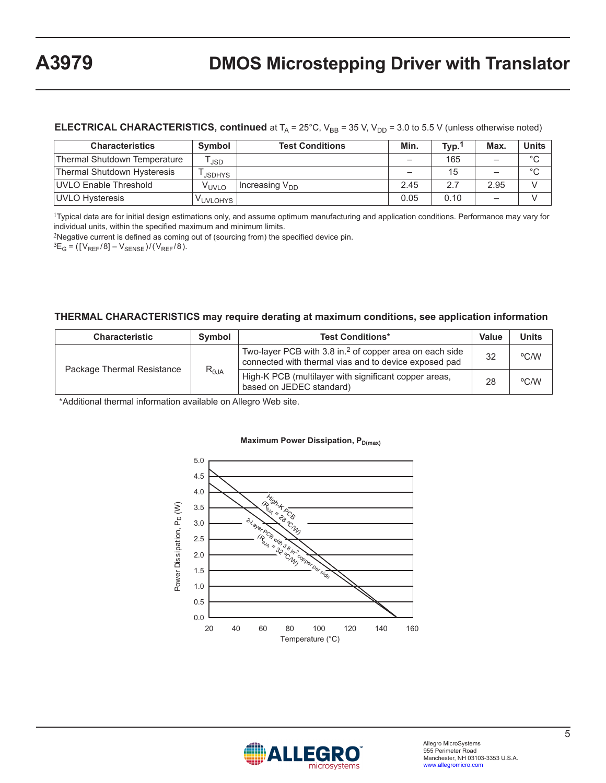#### **ELECTRICAL CHARACTERISTICS, continued** at  $T_A = 25^{\circ}$ C,  $V_{BB} = 35$  V,  $V_{DD} = 3.0$  to 5.5 V (unless otherwise noted)

| <b>Characteristics</b>       | Symbol            | <b>Test Conditions</b>     | Min. | Typ. | Max.                     | Units   |
|------------------------------|-------------------|----------------------------|------|------|--------------------------|---------|
| Thermal Shutdown Temperature | <b>JSD</b>        |                            |      | 165  |                          | $\circ$ |
| Thermal Shutdown Hysteresis  | <b>JSDHYS</b>     |                            |      | 15   | -                        | $\circ$ |
| UVLO Enable Threshold        | V <sub>UVLO</sub> | Increasing V <sub>DD</sub> | 2.45 | 2.7  | 2.95                     |         |
| UVLO Hysteresis              | VUVLOHYS          |                            | 0.05 | 0.10 | $\overline{\phantom{0}}$ |         |

<sup>1</sup>Typical data are for initial design estimations only, and assume optimum manufacturing and application conditions. Performance may vary for individual units, within the specified maximum and minimum limits.

<sup>2</sup>Negative current is defined as coming out of (sourcing from) the specified device pin.

 ${}^{3}E_{G} = ([V_{REF}/8] - V_{SENSE})/(V_{REF}/8)$ .

#### **THERMAL CHARACTERISTICS may require derating at maximum conditions, see application information**

| <b>Characteristic</b>      | <b>Symbol</b>   | <b>Test Conditions*</b>                                                                                                      | Value | <b>Units</b> |
|----------------------------|-----------------|------------------------------------------------------------------------------------------------------------------------------|-------|--------------|
| Package Thermal Resistance |                 | Two-layer PCB with 3.8 in. <sup>2</sup> of copper area on each side<br>connected with thermal vias and to device exposed pad |       | °C/W         |
|                            | $R_{\theta JA}$ | High-K PCB (multilayer with significant copper areas,<br>based on JEDEC standard)                                            | 28    | °C/W         |

\*Additional thermal information available on Allegro Web site.



#### **Maximum Power Dissipation, PD(max)**

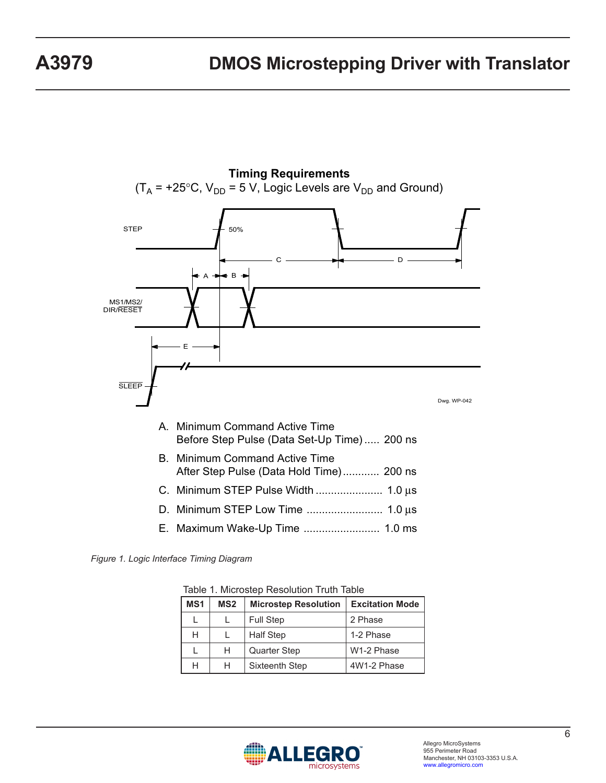

**Timing Requirements**  $(T_A = +25^{\circ}C, V_{DD} = 5 V,$  Logic Levels are  $V_{DD}$  and Ground)

*Figure 1. Logic Interface Timing Diagram*

| MS1 | MS <sub>2</sub> | <b>Microstep Resolution</b> | <b>Excitation Mode</b> |
|-----|-----------------|-----------------------------|------------------------|
|     |                 | <b>Full Step</b>            | 2 Phase                |
| Н   |                 | <b>Half Step</b>            | 1-2 Phase              |
|     | н               | Quarter Step                | W1-2 Phase             |
| н   | н               | Sixteenth Step              | 4W1-2 Phase            |

Table 1. Microstep Resolution Truth Table

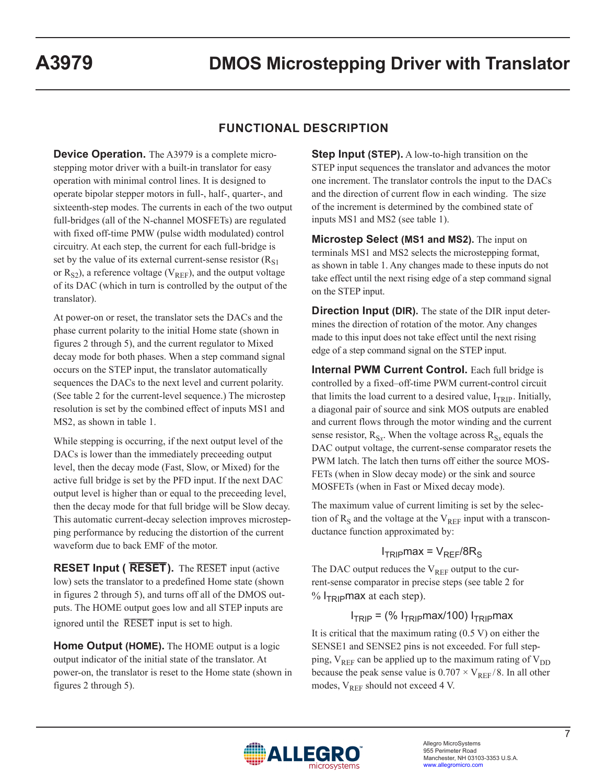### **FUNCTIONAL DESCRIPTION**

**Device Operation.** The A3979 is a complete microstepping motor driver with a built-in translator for easy operation with minimal control lines. It is designed to operate bipolar stepper motors in full-, half-, quarter-, and sixteenth-step modes. The currents in each of the two output full-bridges (all of the N-channel MOSFETs) are regulated with fixed off-time PMW (pulse width modulated) control circuitry. At each step, the current for each full-bridge is set by the value of its external current-sense resistor  $(R<sub>S1</sub>)$ or  $R_{S2}$ ), a reference voltage (V<sub>REF</sub>), and the output voltage of its DAC (which in turn is controlled by the output of the translator).

At power-on or reset, the translator sets the DACs and the phase current polarity to the initial Home state (shown in figures 2 through 5), and the current regulator to Mixed decay mode for both phases. When a step command signal occurs on the STEP input, the translator automatically sequences the DACs to the next level and current polarity. (See table 2 for the current-level sequence.) The microstep resolution is set by the combined effect of inputs MS1 and MS2, as shown in table 1.

While stepping is occurring, if the next output level of the DACs is lower than the immediately preceeding output level, then the decay mode (Fast, Slow, or Mixed) for the active full bridge is set by the PFD input. If the next DAC output level is higher than or equal to the preceeding level, then the decay mode for that full bridge will be Slow decay. This automatic current-decay selection improves microstepping performance by reducing the distortion of the current waveform due to back EMF of the motor.

**RESET Input ( RESET).** The RESET input (active low) sets the translator to a predefined Home state (shown in figures 2 through 5), and turns off all of the DMOS outputs. The HOME output goes low and all STEP inputs are ignored until the  $\overline{\text{RESET}}$  input is set to high.

**Home Output (HOME).** The HOME output is a logic output indicator of the initial state of the translator. At power-on, the translator is reset to the Home state (shown in figures 2 through 5).

**Step Input (STEP).** A low-to-high transition on the STEP input sequences the translator and advances the motor one increment. The translator controls the input to the DACs and the direction of current flow in each winding. The size of the increment is determined by the combined state of inputs MS1 and MS2 (see table 1).

**Microstep Select (MS1 and MS2).** The input on terminals MS1 and MS2 selects the microstepping format, as shown in table 1. Any changes made to these inputs do not take effect until the next rising edge of a step command signal on the STEP input.

**Direction Input (DIR).** The state of the DIR input determines the direction of rotation of the motor. Any changes made to this input does not take effect until the next rising edge of a step command signal on the STEP input.

**Internal PWM Current Control.** Each full bridge is controlled by a fixed–off-time PWM current-control circuit that limits the load current to a desired value,  $I_{TRIP}$ . Initially, a diagonal pair of source and sink MOS outputs are enabled and current flows through the motor winding and the current sense resistor,  $R_{Sr}$ . When the voltage across  $R_{Sr}$  equals the DAC output voltage, the current-sense comparator resets the PWM latch. The latch then turns off either the source MOS-FETs (when in Slow decay mode) or the sink and source MOSFETs (when in Fast or Mixed decay mode).

The maximum value of current limiting is set by the selection of  $R<sub>S</sub>$  and the voltage at the  $V<sub>REF</sub>$  input with a transconductance function approximated by:

### $I<sub>TRIP</sub>$ max =  $V<sub>REF</sub>/8R<sub>S</sub>$

The DAC output reduces the  $V_{REF}$  output to the current-sense comparator in precise steps (see table 2 for  $% I_{TRIP}$ max at each step).

### $I<sub>TRIP</sub> =$  (%  $I<sub>TRIP</sub>max/100$ )  $I<sub>TRIP</sub>max$

It is critical that the maximum rating (0.5 V) on either the SENSE1 and SENSE2 pins is not exceeded. For full stepping,  $V_{REF}$  can be applied up to the maximum rating of  $V_{DD}$ because the peak sense value is  $0.707 \times V_{REF}/8$ . In all other modes,  $V_{REF}$  should not exceed 4 V.

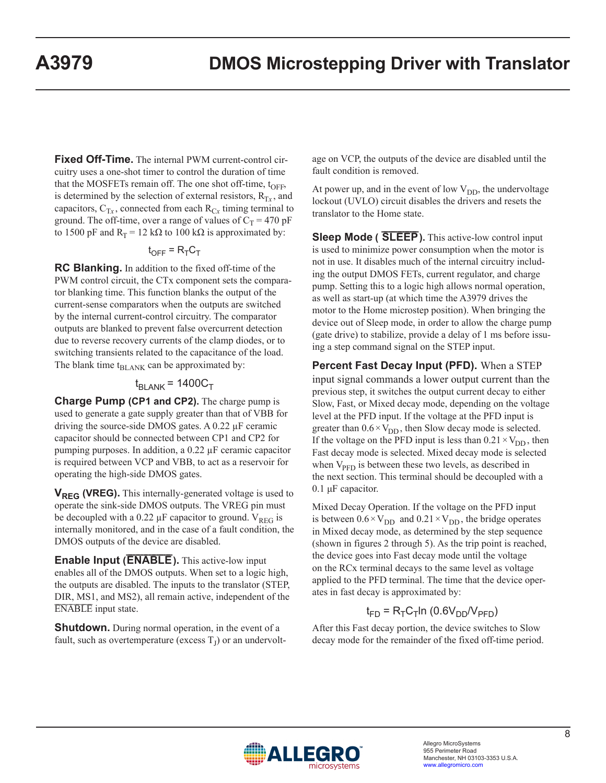**Fixed Off-Time.** The internal PWM current-control circuitry uses a one-shot timer to control the duration of time that the MOSFETs remain off. The one shot off-time,  $t_{\text{OFF}}$ , is determined by the selection of external resistors,  $R_T$ <sub>x</sub>, and capacitors,  $C_T$ <sub>x</sub>, connected from each  $R_{Cx}$  timing terminal to ground. The off-time, over a range of values of  $C_T = 470$  pF to 1500 pF and  $R_T = 12$  k $\Omega$  to 100 k $\Omega$  is approximated by:

#### $t_{\text{OFF}} = R_{\text{T}} C_{\text{T}}$

**RC Blanking.** In addition to the fixed off-time of the PWM control circuit, the CTx component sets the comparator blanking time. This function blanks the output of the current-sense comparators when the outputs are switched by the internal current-control circuitry. The comparator outputs are blanked to prevent false overcurrent detection due to reverse recovery currents of the clamp diodes, or to switching transients related to the capacitance of the load. The blank time  $t_{BL,ANK}$  can be approximated by:

#### $t_{BI \, ANK}$  = 1400 $C_T$

**Charge Pump (CP1 and CP2).** The charge pump is used to generate a gate supply greater than that of VBB for driving the source-side DMOS gates. A 0.22 µF ceramic capacitor should be connected between CP1 and CP2 for pumping purposes. In addition, a 0.22 µF ceramic capacitor is required between VCP and VBB, to act as a reservoir for operating the high-side DMOS gates.

**V<sub>REG</sub>** (VREG). This internally-generated voltage is used to operate the sink-side DMOS outputs. The VREG pin must be decoupled with a 0.22  $\mu$ F capacitor to ground. V<sub>REG</sub> is internally monitored, and in the case of a fault condition, the DMOS outputs of the device are disabled.

**Enable Input (ENABLE).** This active-low input enables all of the DMOS outputs. When set to a logic high, the outputs are disabled. The inputs to the translator (STEP, DIR, MS1, and MS2), all remain active, independent of the ENABLE input state.

**Shutdown.** During normal operation, in the event of a fault, such as overtemperature (excess  $T_J$ ) or an undervoltage on VCP, the outputs of the device are disabled until the fault condition is removed.

At power up, and in the event of low  $V_{DD}$ , the undervoltage lockout (UVLO) circuit disables the drivers and resets the translator to the Home state.

**Sleep Mode ( SLEEP).** This active-low control input is used to minimize power consumption when the motor is not in use. It disables much of the internal circuitry including the output DMOS FETs, current regulator, and charge pump. Setting this to a logic high allows normal operation, as well as start-up (at which time the A3979 drives the motor to the Home microstep position). When bringing the device out of Sleep mode, in order to allow the charge pump (gate drive) to stabilize, provide a delay of 1 ms before issuing a step command signal on the STEP input.

**Percent Fast Decay Input (PFD).** When a STEP input signal commands a lower output current than the previous step, it switches the output current decay to either Slow, Fast, or Mixed decay mode, depending on the voltage level at the PFD input. If the voltage at the PFD input is greater than  $0.6 \times V_{DD}$ , then Slow decay mode is selected. If the voltage on the PFD input is less than  $0.21 \times V_{DD}$ , then Fast decay mode is selected. Mixed decay mode is selected when  $V_{\text{PFD}}$  is between these two levels, as described in the next section. This terminal should be decoupled with a 0.1 μF capacitor.

Mixed Decay Operation. If the voltage on the PFD input is between  $0.6 \times V_{DD}$  and  $0.21 \times V_{DD}$ , the bridge operates in Mixed decay mode, as determined by the step sequence (shown in figures 2 through 5). As the trip point is reached, the device goes into Fast decay mode until the voltage on the RCx terminal decays to the same level as voltage applied to the PFD terminal. The time that the device operates in fast decay is approximated by:

# $t_{FD}$  = R<sub>T</sub>C<sub>T</sub>In (0.6V<sub>DD</sub>/V<sub>PFD</sub>)

After this Fast decay portion, the device switches to Slow decay mode for the remainder of the fixed off-time period.

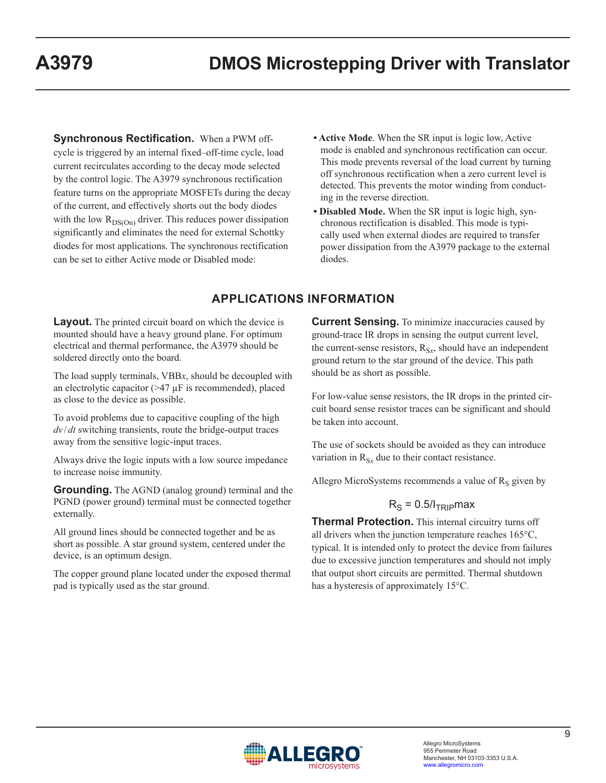**Synchronous Rectification.** When a PWM offcycle is triggered by an internal fixed–off-time cycle, load current recirculates according to the decay mode selected by the control logic. The A3979 synchronous rectification feature turns on the appropriate MOSFETs during the decay of the current, and effectively shorts out the body diodes with the low  $R_{DS(On)}$  driver. This reduces power dissipation significantly and eliminates the need for external Schottky diodes for most applications. The synchronous rectification can be set to either Active mode or Disabled mode:

- **Active Mode**. When the SR input is logic low, Active mode is enabled and synchronous rectification can occur. This mode prevents reversal of the load current by turning off synchronous rectification when a zero current level is detected. This prevents the motor winding from conducting in the reverse direction.
- **Disabled Mode.** When the SR input is logic high, synchronous rectification is disabled. This mode is typically used when external diodes are required to transfer power dissipation from the A3979 package to the external diodes.

# **APPLICATIONS INFORMATION**

**Layout.** The printed circuit board on which the device is mounted should have a heavy ground plane. For optimum electrical and thermal performance, the A3979 should be soldered directly onto the board.

The load supply terminals, VBB*x*, should be decoupled with an electrolytic capacitor  $(>47 \mu$ F is recommended), placed as close to the device as possible.

To avoid problems due to capacitive coupling of the high *dv* /*dt* switching transients, route the bridge-output traces away from the sensitive logic-input traces.

Always drive the logic inputs with a low source impedance to increase noise immunity.

**Grounding.** The AGND (analog ground) terminal and the PGND (power ground) terminal must be connected together externally.

All ground lines should be connected together and be as short as possible. A star ground system, centered under the device, is an optimum design.

The copper ground plane located under the exposed thermal pad is typically used as the star ground.

**Current Sensing.** To minimize inaccuracies caused by ground-trace IR drops in sensing the output current level, the current-sense resistors,  $R_{Sx}$ , should have an independent ground return to the star ground of the device. This path should be as short as possible.

For low-value sense resistors, the IR drops in the printed circuit board sense resistor traces can be significant and should be taken into account.

The use of sockets should be avoided as they can introduce variation in  $R_{S_x}$  due to their contact resistance.

Allegro MicroSystems recommends a value of  $R<sub>S</sub>$  given by

#### $R<sub>S</sub> = 0.5/I<sub>TRIP</sub>$ max

**Thermal Protection.** This internal circuitry turns off all drivers when the junction temperature reaches 165°C, typical. It is intended only to protect the device from failures due to excessive junction temperatures and should not imply that output short circuits are permitted. Thermal shutdown has a hysteresis of approximately 15°C.

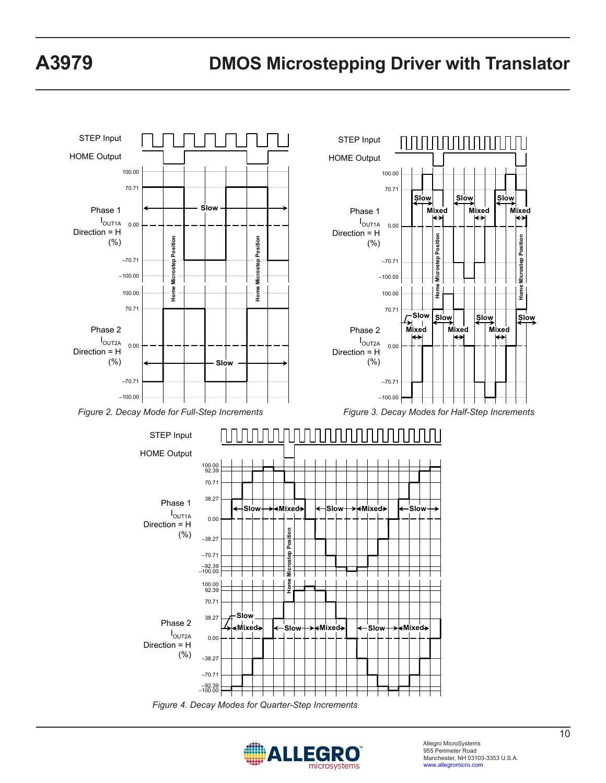

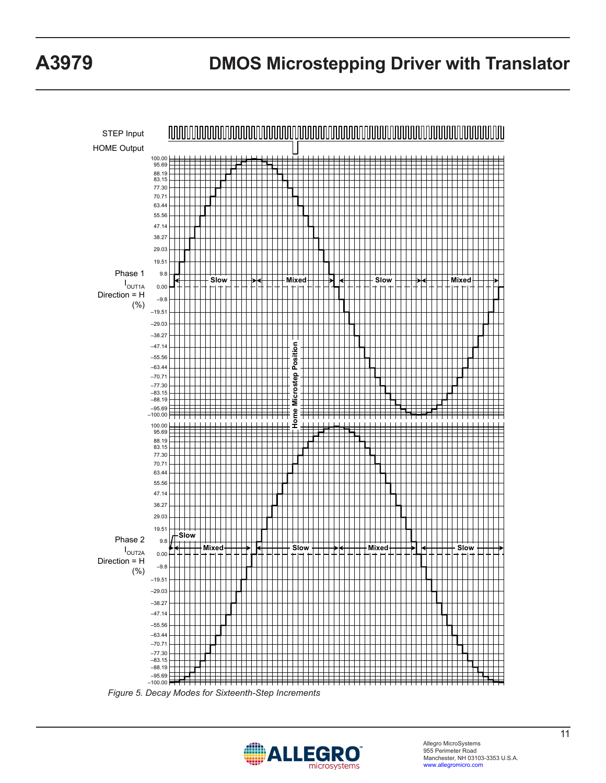

*Figure 5. Decay Modes for Sixteenth-Step Increments*

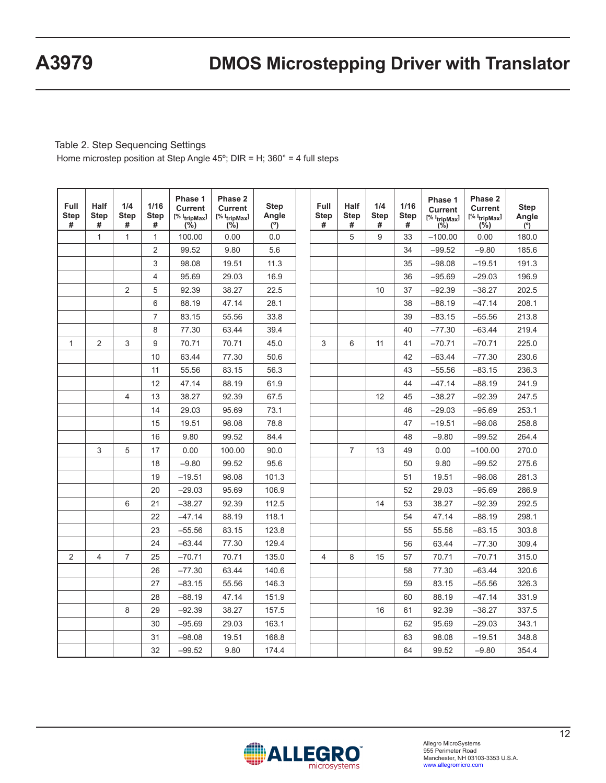#### Table 2. Step Sequencing Settings

Home microstep position at Step Angle 45º; DIR = H; 360° = 4 full steps

| <b>Full</b><br><b>Step</b><br># | <b>Half</b><br><b>Step</b><br># | 1/4<br><b>Step</b><br># | 1/16<br><b>Step</b><br># | Phase 1<br><b>Current</b><br>$[%  $ tripMax $]$<br>(%) | Phase 2<br><b>Current</b><br>$[%  $ tripMax $]$<br>(%) | <b>Step</b><br>Angle<br>(°) | <b>Full</b><br><b>Step</b><br># | Half<br><b>Step</b><br># | 1/4<br><b>Step</b><br># | 1/16<br><b>Step</b><br># | Phase 1<br><b>Current</b><br>[% I <sub>tripMax</sub> ]<br>$(\%)$ | Phase 2<br><b>Current</b><br>$[%  $ tripMax $]$<br>$(\% )$ | <b>Step</b><br>Angle<br>(°) |
|---------------------------------|---------------------------------|-------------------------|--------------------------|--------------------------------------------------------|--------------------------------------------------------|-----------------------------|---------------------------------|--------------------------|-------------------------|--------------------------|------------------------------------------------------------------|------------------------------------------------------------|-----------------------------|
|                                 | $\mathbf{1}$                    | $\mathbf{1}$            | $\mathbf{1}$             | 100.00                                                 | 0.00                                                   | 0.0                         |                                 | 5                        | 9                       | 33                       | $-100.00$                                                        | 0.00                                                       | 180.0                       |
|                                 |                                 |                         | $\overline{2}$           | 99.52                                                  | 9.80                                                   | 5.6                         |                                 |                          |                         | 34                       | $-99.52$                                                         | $-9.80$                                                    | 185.6                       |
|                                 |                                 |                         | 3                        | 98.08                                                  | 19.51                                                  | 11.3                        |                                 |                          |                         | 35                       | $-98.08$                                                         | $-19.51$                                                   | 191.3                       |
|                                 |                                 |                         | $\overline{4}$           | 95.69                                                  | 29.03                                                  | 16.9                        |                                 |                          |                         | 36                       | $-95.69$                                                         | $-29.03$                                                   | 196.9                       |
|                                 |                                 | $\overline{2}$          | 5                        | 92.39                                                  | 38.27                                                  | 22.5                        |                                 |                          | 10                      | 37                       | $-92.39$                                                         | $-38.27$                                                   | 202.5                       |
|                                 |                                 |                         | 6                        | 88.19                                                  | 47.14                                                  | 28.1                        |                                 |                          |                         | 38                       | $-88.19$                                                         | $-47.14$                                                   | 208.1                       |
|                                 |                                 |                         | $\overline{7}$           | 83.15                                                  | 55.56                                                  | 33.8                        |                                 |                          |                         | 39                       | $-83.15$                                                         | $-55.56$                                                   | 213.8                       |
|                                 |                                 |                         | 8                        | 77.30                                                  | 63.44                                                  | 39.4                        |                                 |                          |                         | 40                       | $-77.30$                                                         | $-63.44$                                                   | 219.4                       |
| $\mathbf{1}$                    | $\overline{2}$                  | 3                       | 9                        | 70.71                                                  | 70.71                                                  | 45.0                        | 3                               | 6                        | 11                      | 41                       | $-70.71$                                                         | $-70.71$                                                   | 225.0                       |
|                                 |                                 |                         | 10                       | 63.44                                                  | 77.30                                                  | 50.6                        |                                 |                          |                         | 42                       | $-63.44$                                                         | $-77.30$                                                   | 230.6                       |
|                                 |                                 |                         | 11                       | 55.56                                                  | 83.15                                                  | 56.3                        |                                 |                          |                         | 43                       | $-55.56$                                                         | $-83.15$                                                   | 236.3                       |
|                                 |                                 |                         | 12                       | 47.14                                                  | 88.19                                                  | 61.9                        |                                 |                          |                         | 44                       | $-47.14$                                                         | $-88.19$                                                   | 241.9                       |
|                                 |                                 | $\overline{4}$          | 13                       | 38.27                                                  | 92.39                                                  | 67.5                        |                                 |                          | 12                      | 45                       | $-38.27$                                                         | $-92.39$                                                   | 247.5                       |
|                                 |                                 |                         | 14                       | 29.03                                                  | 95.69                                                  | 73.1                        |                                 |                          |                         | 46                       | $-29.03$                                                         | $-95.69$                                                   | 253.1                       |
|                                 |                                 |                         | 15                       | 19.51                                                  | 98.08                                                  | 78.8                        |                                 |                          |                         | 47                       | $-19.51$                                                         | $-98.08$                                                   | 258.8                       |
|                                 |                                 |                         | 16                       | 9.80                                                   | 99.52                                                  | 84.4                        |                                 |                          |                         | 48                       | $-9.80$                                                          | $-99.52$                                                   | 264.4                       |
|                                 | 3                               | 5                       | 17                       | 0.00                                                   | 100.00                                                 | 90.0                        |                                 | $\overline{7}$           | 13                      | 49                       | 0.00                                                             | $-100.00$                                                  | 270.0                       |
|                                 |                                 |                         | 18                       | $-9.80$                                                | 99.52                                                  | 95.6                        |                                 |                          |                         | 50                       | 9.80                                                             | $-99.52$                                                   | 275.6                       |
|                                 |                                 |                         | 19                       | $-19.51$                                               | 98.08                                                  | 101.3                       |                                 |                          |                         | 51                       | 19.51                                                            | $-98.08$                                                   | 281.3                       |
|                                 |                                 |                         | 20                       | $-29.03$                                               | 95.69                                                  | 106.9                       |                                 |                          |                         | 52                       | 29.03                                                            | $-95.69$                                                   | 286.9                       |
|                                 |                                 | 6                       | 21                       | $-38.27$                                               | 92.39                                                  | 112.5                       |                                 |                          | 14                      | 53                       | 38.27                                                            | $-92.39$                                                   | 292.5                       |
|                                 |                                 |                         | 22                       | $-47.14$                                               | 88.19                                                  | 118.1                       |                                 |                          |                         | 54                       | 47.14                                                            | $-88.19$                                                   | 298.1                       |
|                                 |                                 |                         | 23                       | $-55.56$                                               | 83.15                                                  | 123.8                       |                                 |                          |                         | 55                       | 55.56                                                            | $-83.15$                                                   | 303.8                       |
|                                 |                                 |                         | 24                       | $-63.44$                                               | 77.30                                                  | 129.4                       |                                 |                          |                         | 56                       | 63.44                                                            | $-77.30$                                                   | 309.4                       |
| $\overline{2}$                  | $\overline{4}$                  | $\overline{7}$          | 25                       | $-70.71$                                               | 70.71                                                  | 135.0                       | 4                               | 8                        | 15                      | 57                       | 70.71                                                            | $-70.71$                                                   | 315.0                       |
|                                 |                                 |                         | 26                       | $-77.30$                                               | 63.44                                                  | 140.6                       |                                 |                          |                         | 58                       | 77.30                                                            | $-63.44$                                                   | 320.6                       |
|                                 |                                 |                         | 27                       | $-83.15$                                               | 55.56                                                  | 146.3                       |                                 |                          |                         | 59                       | 83.15                                                            | $-55.56$                                                   | 326.3                       |
|                                 |                                 |                         | 28                       | $-88.19$                                               | 47.14                                                  | 151.9                       |                                 |                          |                         | 60                       | 88.19                                                            | $-47.14$                                                   | 331.9                       |
|                                 |                                 | 8                       | 29                       | $-92.39$                                               | 38.27                                                  | 157.5                       |                                 |                          | 16                      | 61                       | 92.39                                                            | $-38.27$                                                   | 337.5                       |
|                                 |                                 |                         | 30                       | $-95.69$                                               | 29.03                                                  | 163.1                       |                                 |                          |                         | 62                       | 95.69                                                            | $-29.03$                                                   | 343.1                       |
|                                 |                                 |                         | 31                       | $-98.08$                                               | 19.51                                                  | 168.8                       |                                 |                          |                         | 63                       | 98.08                                                            | $-19.51$                                                   | 348.8                       |
|                                 |                                 |                         | 32                       | $-99.52$                                               | 9.80                                                   | 174.4                       |                                 |                          |                         | 64                       | 99.52                                                            | $-9.80$                                                    | 354.4                       |

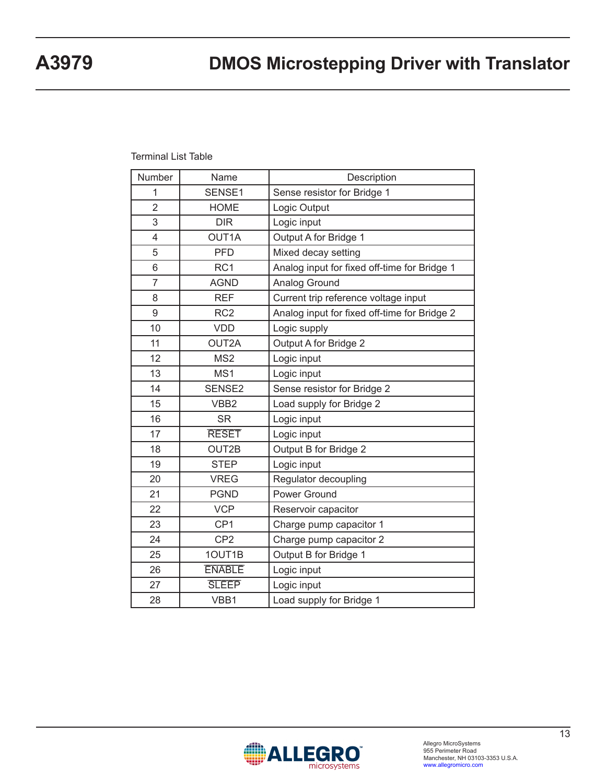#### Terminal List Table

| Number         | Name             | Description                                  |
|----------------|------------------|----------------------------------------------|
| 1              | SENSE1           | Sense resistor for Bridge 1                  |
| $\overline{2}$ | <b>HOME</b>      | Logic Output                                 |
| 3              | <b>DIR</b>       | Logic input                                  |
| 4              | OUT1A            | Output A for Bridge 1                        |
| 5              | <b>PFD</b>       | Mixed decay setting                          |
| 6              | RC <sub>1</sub>  | Analog input for fixed off-time for Bridge 1 |
| $\overline{7}$ | <b>AGND</b>      | Analog Ground                                |
| 8              | <b>REF</b>       | Current trip reference voltage input         |
| 9              | RC <sub>2</sub>  | Analog input for fixed off-time for Bridge 2 |
| 10             | <b>VDD</b>       | Logic supply                                 |
| 11             | OUT2A            | Output A for Bridge 2                        |
| 12             | MS <sub>2</sub>  | Logic input                                  |
| 13             | MS <sub>1</sub>  | Logic input                                  |
| 14             | SENSE2           | Sense resistor for Bridge 2                  |
| 15             | VBB <sub>2</sub> | Load supply for Bridge 2                     |
| 16             | <b>SR</b>        | Logic input                                  |
| 17             | <b>RESET</b>     | Logic input                                  |
| 18             | OUT2B            | Output B for Bridge 2                        |
| 19             | <b>STEP</b>      | Logic input                                  |
| 20             | <b>VREG</b>      | Regulator decoupling                         |
| 21             | <b>PGND</b>      | Power Ground                                 |
| 22             | <b>VCP</b>       | Reservoir capacitor                          |
| 23             | CP <sub>1</sub>  | Charge pump capacitor 1                      |
| 24             | CP <sub>2</sub>  | Charge pump capacitor 2                      |
| 25             | 1OUT1B           | Output B for Bridge 1                        |
| 26             | <b>ENABLE</b>    | Logic input                                  |
| 27             | <b>SLEEP</b>     | Logic input                                  |
| 28             | VBB1             | Load supply for Bridge 1                     |
|                |                  |                                              |

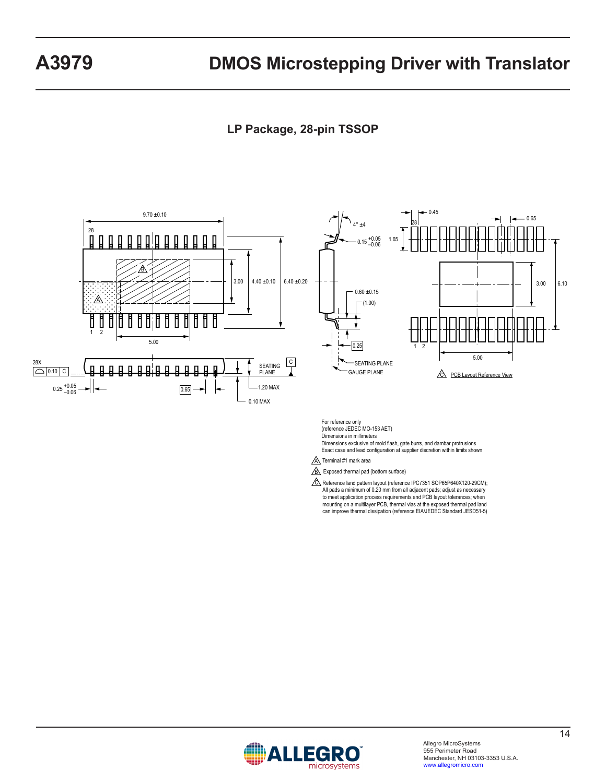# **LP Package, 28-pin TSSOP**



For reference only (reference JEDEC MO-153 AET) Dimensions in millimeters

Dimensions exclusive of mold flash, gate burrs, and dambar protrusions Exact case and lead configuration at supplier discretion within limits shown

 $\underline{\mathbb{A}}$  Terminal #1 mark area

**B** Exposed thermal pad (bottom surface)

C Reference land pattern layout (reference IPC7351 SOP65P640X120-29CM); All pads a minimum of 0.20 mm from all adjacent pads; adjust as necessary to meet application process requirements and PCB layout tolerances; when mounting on a multilayer PCB, thermal vias at the exposed thermal pad land can improve thermal dissipation (reference EIA/JEDEC Standard JESD51-5)